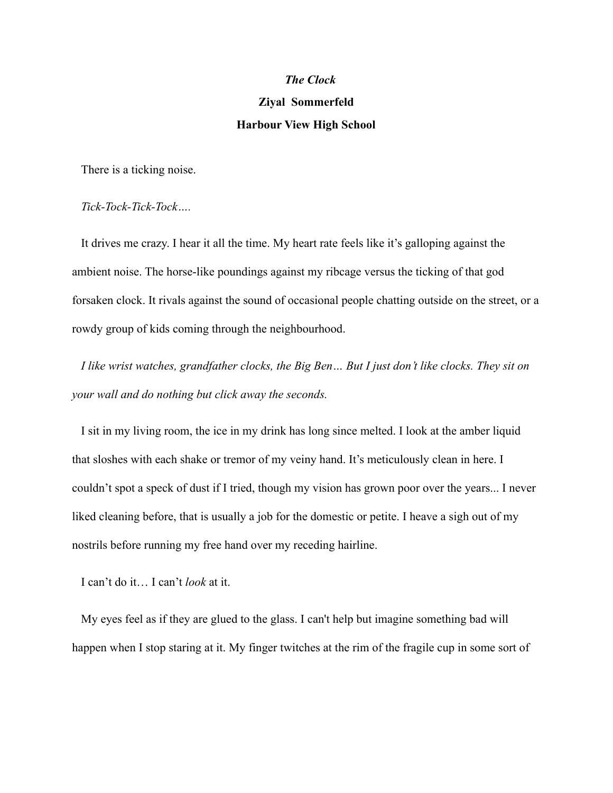#### *The Clock*

# **Ziyal Sommerfeld Harbour View High School**

There is a ticking noise.

*Tick-Tock-Tick-Tock….*

It drives me crazy. I hear it all the time. My heart rate feels like it's galloping against the ambient noise. The horse-like poundings against my ribcage versus the ticking of that god forsaken clock. It rivals against the sound of occasional people chatting outside on the street, or a rowdy group of kids coming through the neighbourhood.

*I like wrist watches, grandfather clocks, the Big Ben… But I just don't like clocks. They sit on your wall and do nothing but click away the seconds.*

I sit in my living room, the ice in my drink has long since melted. I look at the amber liquid that sloshes with each shake or tremor of my veiny hand. It's meticulously clean in here. I couldn't spot a speck of dust if I tried, though my vision has grown poor over the years... I never liked cleaning before, that is usually a job for the domestic or petite. I heave a sigh out of my nostrils before running my free hand over my receding hairline.

I can't do it… I can't *look* at it.

My eyes feel as if they are glued to the glass. I can't help but imagine something bad will happen when I stop staring at it. My finger twitches at the rim of the fragile cup in some sort of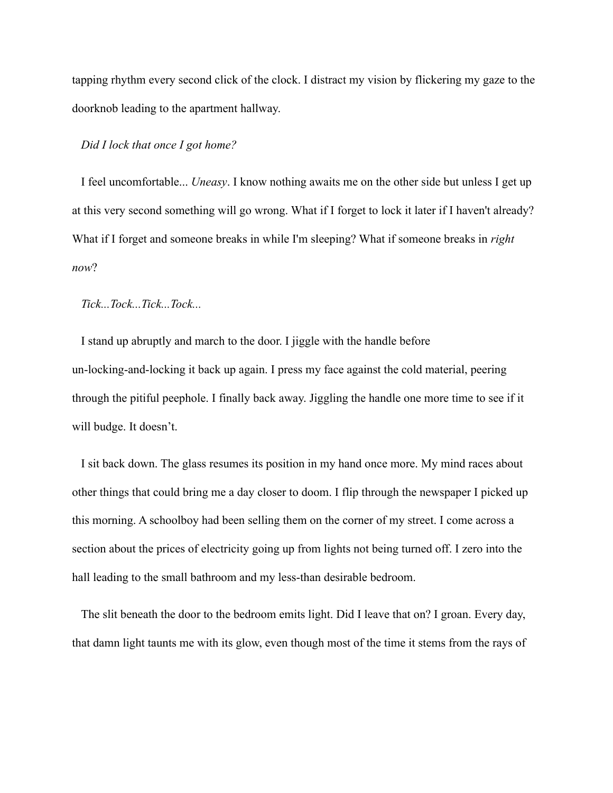tapping rhythm every second click of the clock. I distract my vision by flickering my gaze to the doorknob leading to the apartment hallway.

#### *Did I lock that once I got home?*

I feel uncomfortable... *Uneasy*. I know nothing awaits me on the other side but unless I get up at this very second something will go wrong. What if I forget to lock it later if I haven't already? What if I forget and someone breaks in while I'm sleeping? What if someone breaks in *right now*?

*Tick...Tock...Tick...Tock...*

I stand up abruptly and march to the door. I jiggle with the handle before un-locking-and-locking it back up again. I press my face against the cold material, peering through the pitiful peephole. I finally back away. Jiggling the handle one more time to see if it will budge. It doesn't.

I sit back down. The glass resumes its position in my hand once more. My mind races about other things that could bring me a day closer to doom. I flip through the newspaper I picked up this morning. A schoolboy had been selling them on the corner of my street. I come across a section about the prices of electricity going up from lights not being turned off. I zero into the hall leading to the small bathroom and my less-than desirable bedroom.

The slit beneath the door to the bedroom emits light. Did I leave that on? I groan. Every day, that damn light taunts me with its glow, even though most of the time it stems from the rays of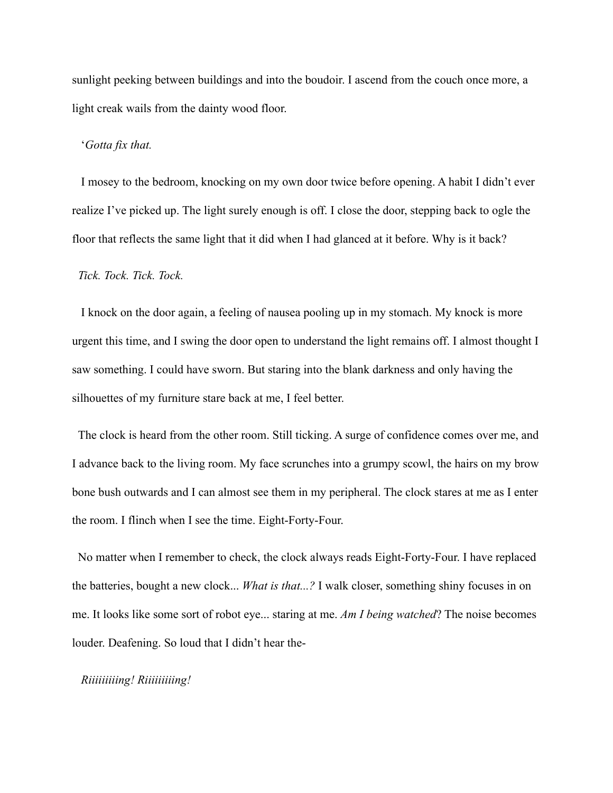sunlight peeking between buildings and into the boudoir. I ascend from the couch once more, a light creak wails from the dainty wood floor.

## '*Gotta fix that.*

I mosey to the bedroom, knocking on my own door twice before opening. A habit I didn't ever realize I've picked up. The light surely enough is off. I close the door, stepping back to ogle the floor that reflects the same light that it did when I had glanced at it before. Why is it back?

# *Tick. Tock. Tick. Tock.*

I knock on the door again, a feeling of nausea pooling up in my stomach. My knock is more urgent this time, and I swing the door open to understand the light remains off. I almost thought I saw something. I could have sworn. But staring into the blank darkness and only having the silhouettes of my furniture stare back at me, I feel better.

The clock is heard from the other room. Still ticking. A surge of confidence comes over me, and I advance back to the living room. My face scrunches into a grumpy scowl, the hairs on my brow bone bush outwards and I can almost see them in my peripheral. The clock stares at me as I enter the room. I flinch when I see the time. Eight-Forty-Four.

No matter when I remember to check, the clock always reads Eight-Forty-Four. I have replaced the batteries, bought a new clock... *What is that...?* I walk closer, something shiny focuses in on me. It looks like some sort of robot eye... staring at me. *Am I being watched*? The noise becomes louder. Deafening. So loud that I didn't hear the-

## *Riiiiiiiiing! Riiiiiiiiing!*